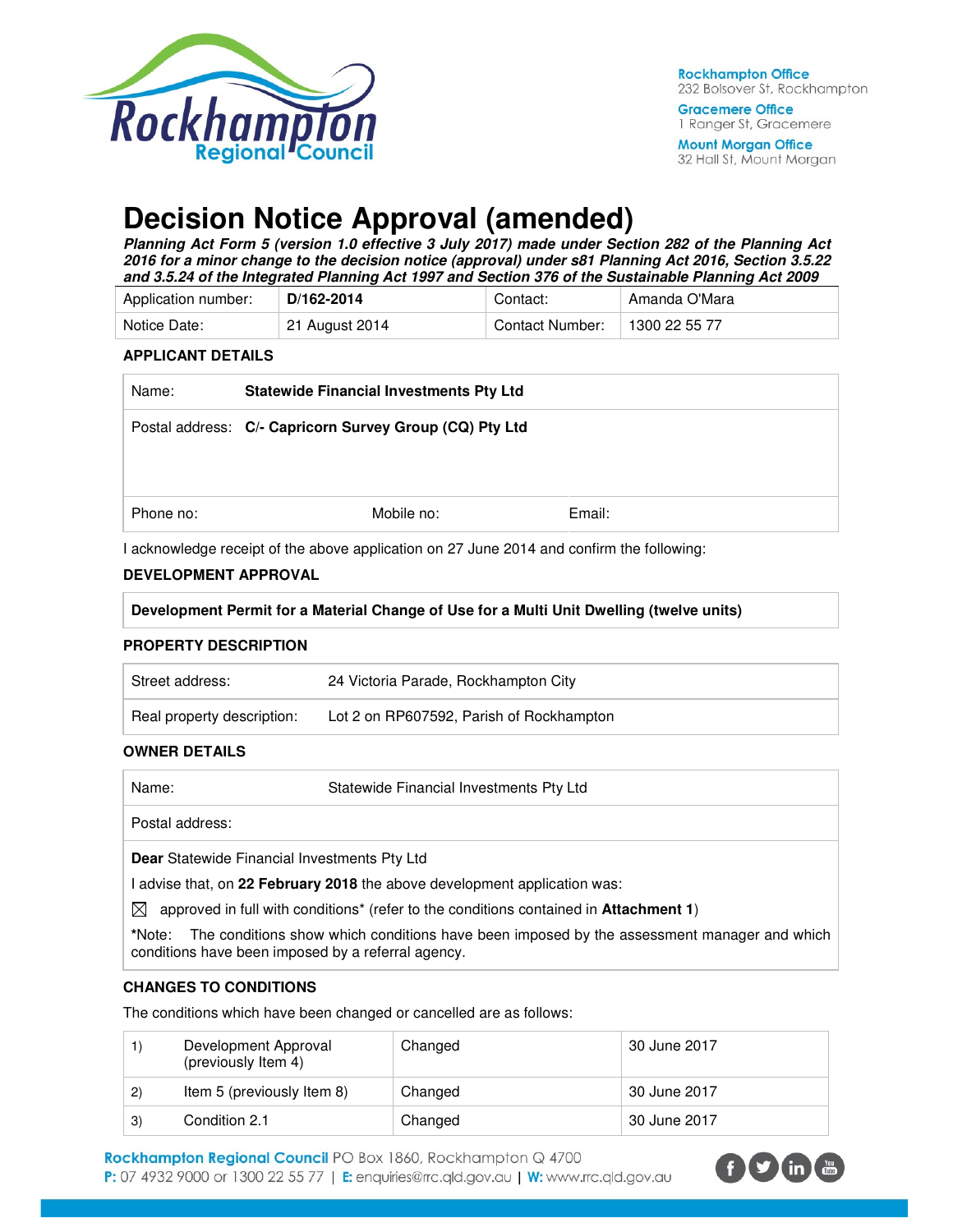

**Mount Morgan Office** 32 Hall St, Mount Morgan

# **Decision Notice Approval (amended)**

**Planning Act Form 5 (version 1.0 effective 3 July 2017) made under Section 282 of the Planning Act 2016 for a minor change to the decision notice (approval) under s81 Planning Act 2016, Section 3.5.22 and 3.5.24 of the Integrated Planning Act 1997 and Section 376 of the Sustainable Planning Act 2009** 

| Application number: | D/162-2014     | Contact:        | Amanda O'Mara |
|---------------------|----------------|-----------------|---------------|
| Notice Date:        | 21 August 2014 | Contact Number: | 1300 22 55 77 |

#### **APPLICANT DETAILS**

| Name:     | <b>Statewide Financial Investments Pty Ltd</b>          |        |
|-----------|---------------------------------------------------------|--------|
|           | Postal address: C/- Capricorn Survey Group (CQ) Pty Ltd |        |
|           |                                                         |        |
| Phone no: | Mobile no:                                              | Email: |

I acknowledge receipt of the above application on 27 June 2014 and confirm the following:

## **DEVELOPMENT APPROVAL**

| Development Permit for a Material Change of Use for a Multi Unit Dwelling (twelve units) |
|------------------------------------------------------------------------------------------|
|------------------------------------------------------------------------------------------|

#### **PROPERTY DESCRIPTION**

| Street address:            | 24 Victoria Parade, Rockhampton City     |
|----------------------------|------------------------------------------|
| Real property description: | Lot 2 on RP607592, Parish of Rockhampton |

#### **OWNER DETAILS**

| Name: | Statewide Financial Investments Pty Ltd |
|-------|-----------------------------------------|
|       |                                         |

Postal address:

**Dear** Statewide Financial Investments Pty Ltd

I advise that, on **22 February 2018** the above development application was:

 $\boxtimes$  approved in full with conditions<sup>\*</sup> (refer to the conditions contained in **Attachment 1**)

**\***Note:The conditions show which conditions have been imposed by the assessment manager and which conditions have been imposed by a referral agency.

## **CHANGES TO CONDITIONS**

The conditions which have been changed or cancelled are as follows:

|               | Development Approval<br>(previously Item 4) | Changed | 30 June 2017 |
|---------------|---------------------------------------------|---------|--------------|
| $\mathbf{2}$  | Item 5 (previously Item 8)                  | Changed | 30 June 2017 |
| $\mathcal{E}$ | Condition 2.1                               | Changed | 30 June 2017 |

Rockhampton Regional Council PO Box 1860, Rockhampton Q 4700 P: 07 4932 9000 or 1300 22 55 77 | E: enquiries@rrc.qld.gov.au | W: www.rrc.qld.gov.au

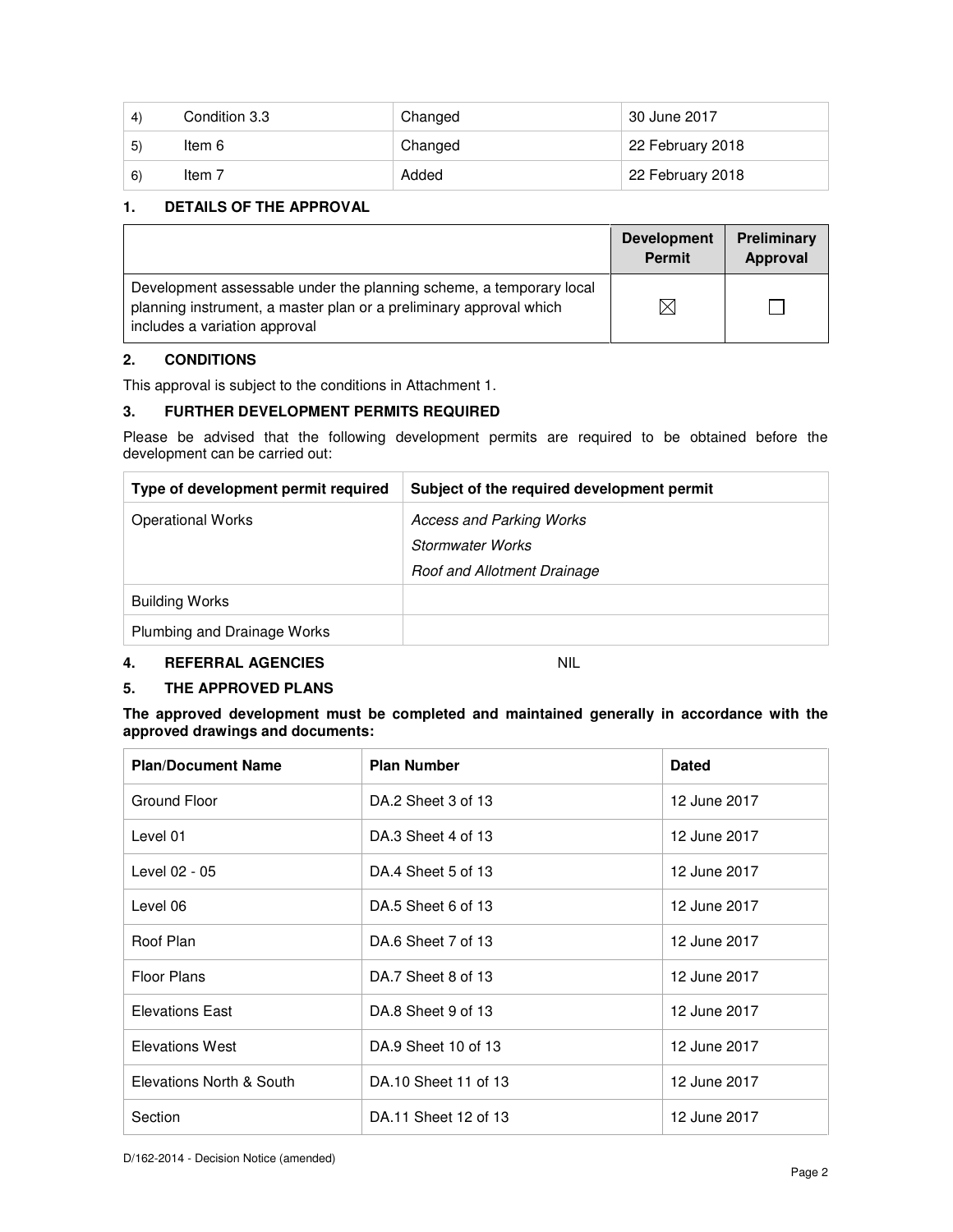| 4) | Condition 3.3 | Changed | 30 June 2017     |
|----|---------------|---------|------------------|
| 5) | ltem 6        | Changed | 22 February 2018 |
| 6) | Item 7        | Added   | 22 February 2018 |

## **1. DETAILS OF THE APPROVAL**

|                                                                                                                                                                            | <b>Development</b><br><b>Permit</b> | Preliminary<br>Approval |
|----------------------------------------------------------------------------------------------------------------------------------------------------------------------------|-------------------------------------|-------------------------|
| Development assessable under the planning scheme, a temporary local<br>planning instrument, a master plan or a preliminary approval which<br>includes a variation approval | $\times$                            |                         |

## **2. CONDITIONS**

This approval is subject to the conditions in Attachment 1.

## **3. FURTHER DEVELOPMENT PERMITS REQUIRED**

Please be advised that the following development permits are required to be obtained before the development can be carried out:

| Type of development permit required | Subject of the required development permit |
|-------------------------------------|--------------------------------------------|
| <b>Operational Works</b>            | <b>Access and Parking Works</b>            |
|                                     | Stormwater Works                           |
|                                     | Roof and Allotment Drainage                |
| <b>Building Works</b>               |                                            |
| Plumbing and Drainage Works         |                                            |

## **4. REFERRAL AGENCIES** NIL

## **5. THE APPROVED PLANS**

**The approved development must be completed and maintained generally in accordance with the approved drawings and documents:** 

| <b>Plan/Document Name</b> | <b>Plan Number</b>   | <b>Dated</b> |
|---------------------------|----------------------|--------------|
| Ground Floor              | DA.2 Sheet 3 of 13   | 12 June 2017 |
| Level 01                  | DA.3 Sheet 4 of 13   | 12 June 2017 |
| Level 02 - 05             | DA.4 Sheet 5 of 13   | 12 June 2017 |
| Level 06                  | DA.5 Sheet 6 of 13   | 12 June 2017 |
| Roof Plan                 | DA.6 Sheet 7 of 13   | 12 June 2017 |
| <b>Floor Plans</b>        | DA.7 Sheet 8 of 13   | 12 June 2017 |
| <b>Elevations East</b>    | DA.8 Sheet 9 of 13   | 12 June 2017 |
| <b>Elevations West</b>    | DA.9 Sheet 10 of 13  | 12 June 2017 |
| Elevations North & South  | DA.10 Sheet 11 of 13 | 12 June 2017 |
| Section                   | DA.11 Sheet 12 of 13 | 12 June 2017 |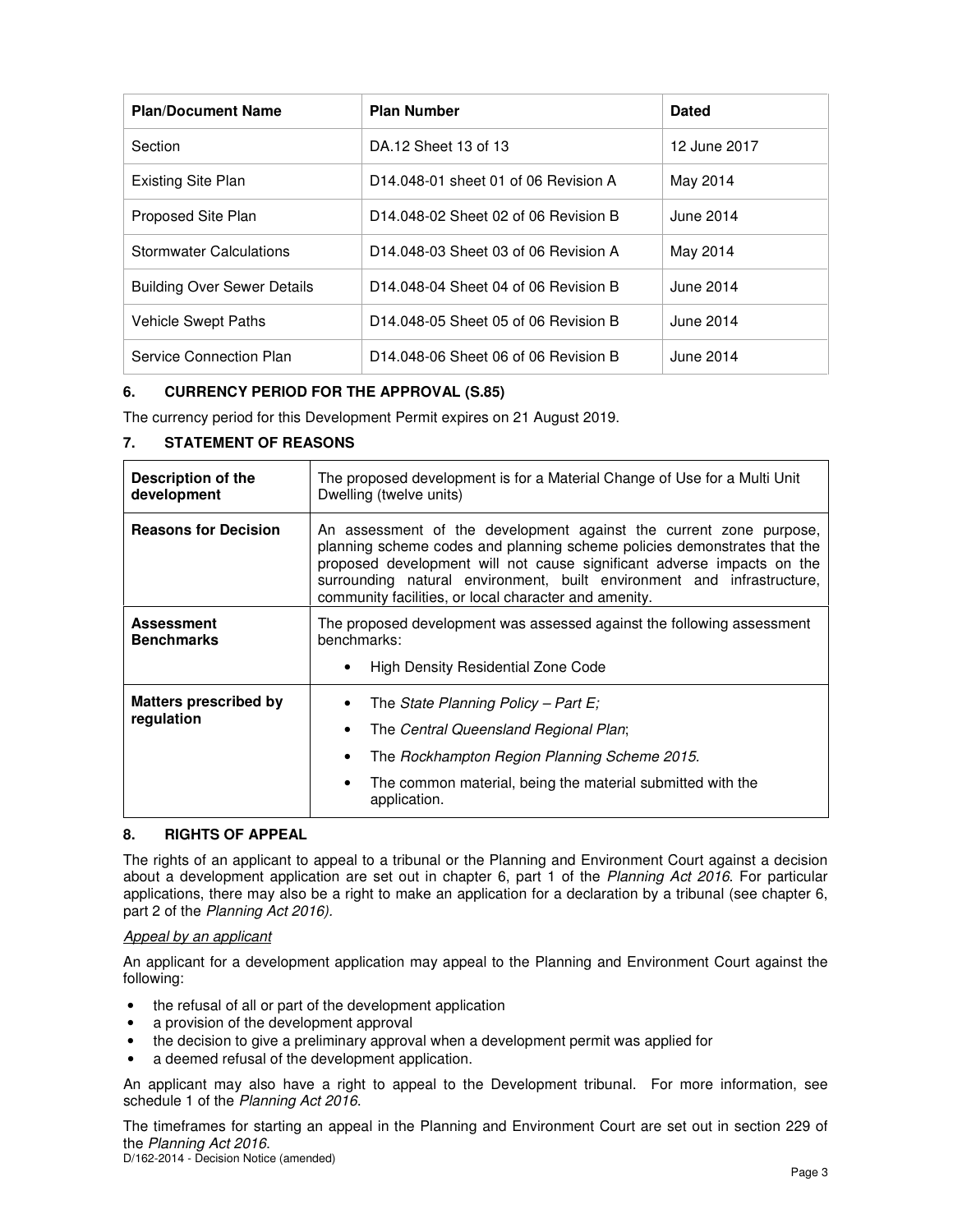| <b>Plan/Document Name</b>          | <b>Plan Number</b>                   | <b>Dated</b> |
|------------------------------------|--------------------------------------|--------------|
| Section                            | DA.12 Sheet 13 of 13                 | 12 June 2017 |
| <b>Existing Site Plan</b>          | D14.048-01 sheet 01 of 06 Revision A | May 2014     |
| Proposed Site Plan                 | D14.048-02 Sheet 02 of 06 Revision B | June 2014    |
| <b>Stormwater Calculations</b>     | D14.048-03 Sheet 03 of 06 Revision A | May 2014     |
| <b>Building Over Sewer Details</b> | D14.048-04 Sheet 04 of 06 Revision B | June 2014    |
| Vehicle Swept Paths                | D14.048-05 Sheet 05 of 06 Revision B | June 2014    |
| Service Connection Plan            | D14.048-06 Sheet 06 of 06 Revision B | June 2014    |

## **6. CURRENCY PERIOD FOR THE APPROVAL (S.85)**

The currency period for this Development Permit expires on 21 August 2019.

| Description of the<br>development      | The proposed development is for a Material Change of Use for a Multi Unit<br>Dwelling (twelve units)                                                                                                                                                                                                                                                        |  |
|----------------------------------------|-------------------------------------------------------------------------------------------------------------------------------------------------------------------------------------------------------------------------------------------------------------------------------------------------------------------------------------------------------------|--|
| <b>Reasons for Decision</b>            | An assessment of the development against the current zone purpose,<br>planning scheme codes and planning scheme policies demonstrates that the<br>proposed development will not cause significant adverse impacts on the<br>surrounding natural environment, built environment and infrastructure,<br>community facilities, or local character and amenity. |  |
| <b>Assessment</b><br><b>Benchmarks</b> | The proposed development was assessed against the following assessment<br>benchmarks:                                                                                                                                                                                                                                                                       |  |
|                                        | High Density Residential Zone Code                                                                                                                                                                                                                                                                                                                          |  |
| <b>Matters prescribed by</b>           | The State Planning Policy – Part E;                                                                                                                                                                                                                                                                                                                         |  |
| regulation                             | The Central Queensland Regional Plan;                                                                                                                                                                                                                                                                                                                       |  |
|                                        | The Rockhampton Region Planning Scheme 2015.                                                                                                                                                                                                                                                                                                                |  |
|                                        | The common material, being the material submitted with the<br>application.                                                                                                                                                                                                                                                                                  |  |

## **7. STATEMENT OF REASONS**

## **8. RIGHTS OF APPEAL**

The rights of an applicant to appeal to a tribunal or the Planning and Environment Court against a decision about a development application are set out in chapter 6, part 1 of the Planning Act 2016. For particular applications, there may also be a right to make an application for a declaration by a tribunal (see chapter 6, part 2 of the Planning Act 2016).

## Appeal by an applicant

An applicant for a development application may appeal to the Planning and Environment Court against the following:

- the refusal of all or part of the development application
- a provision of the development approval
- the decision to give a preliminary approval when a development permit was applied for
- a deemed refusal of the development application.

An applicant may also have a right to appeal to the Development tribunal. For more information, see schedule 1 of the Planning Act 2016.

The timeframes for starting an appeal in the Planning and Environment Court are set out in section 229 of the Planning Act 2016.

D/162-2014 - Decision Notice (amended)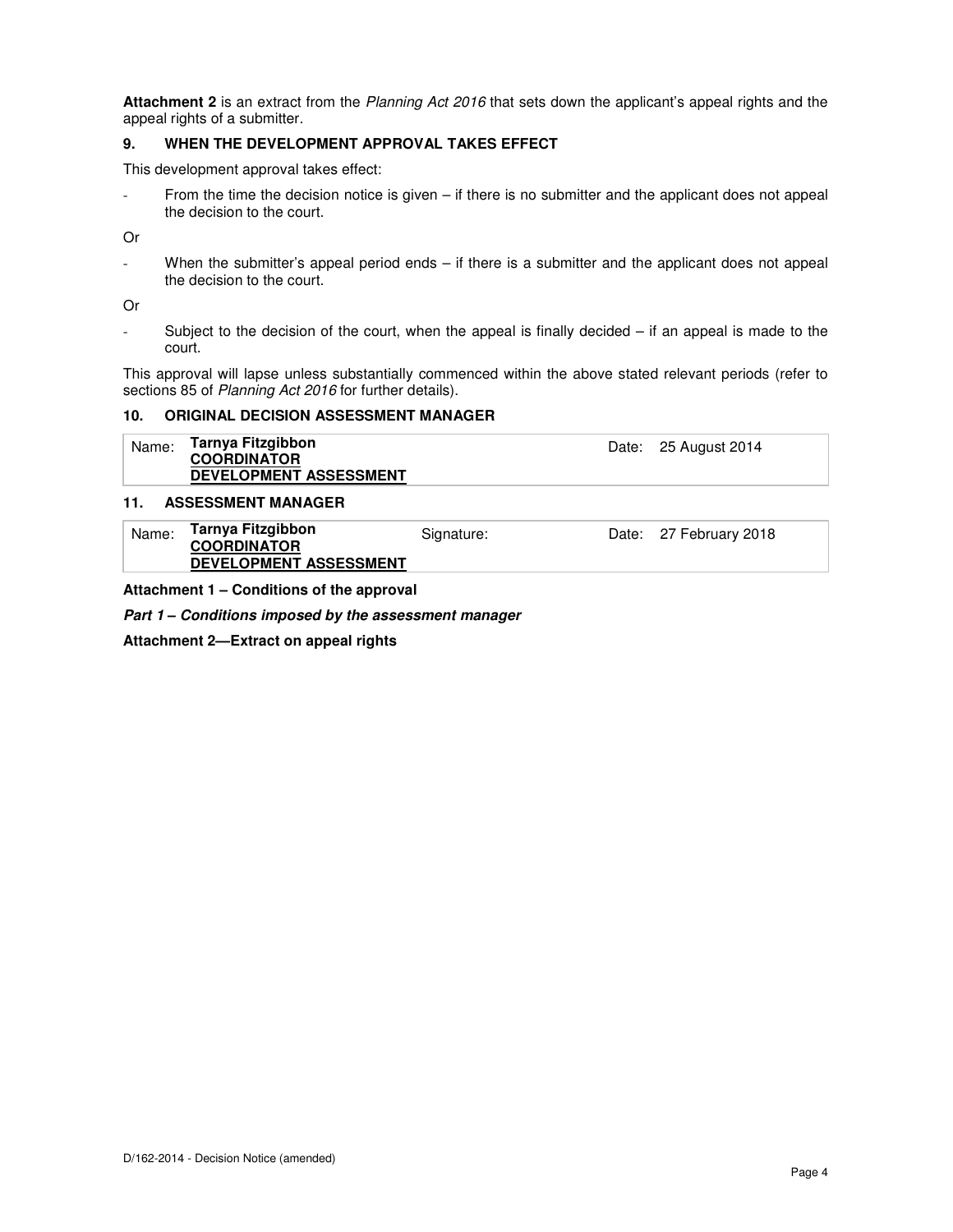**Attachment 2** is an extract from the Planning Act 2016 that sets down the applicant's appeal rights and the appeal rights of a submitter.

#### **9. WHEN THE DEVELOPMENT APPROVAL TAKES EFFECT**

This development approval takes effect:

From the time the decision notice is given  $-$  if there is no submitter and the applicant does not appeal the decision to the court.

Or

- When the submitter's appeal period ends – if there is a submitter and the applicant does not appeal the decision to the court.

Or

- Subject to the decision of the court, when the appeal is finally decided – if an appeal is made to the court.

This approval will lapse unless substantially commenced within the above stated relevant periods (refer to sections 85 of Planning Act 2016 for further details).

#### **10. ORIGINAL DECISION ASSESSMENT MANAGER**

| Name: | Tarnya Fitzgibbon             | Date: 25 August 2014 |
|-------|-------------------------------|----------------------|
|       | <b>COORDINATOR</b>            |                      |
|       | <b>DEVELOPMENT ASSESSMENT</b> |                      |

#### **11. ASSESSMENT MANAGER**

| Name: | Tarnya Fitzgibbon<br><b>COORDINATOR</b> | Signature: | Date: 27 February 2018 |
|-------|-----------------------------------------|------------|------------------------|
|       | <b>DEVELOPMENT ASSESSMENT</b>           |            |                        |

**Attachment 1 – Conditions of the approval** 

**Part 1 – Conditions imposed by the assessment manager** 

**Attachment 2—Extract on appeal rights**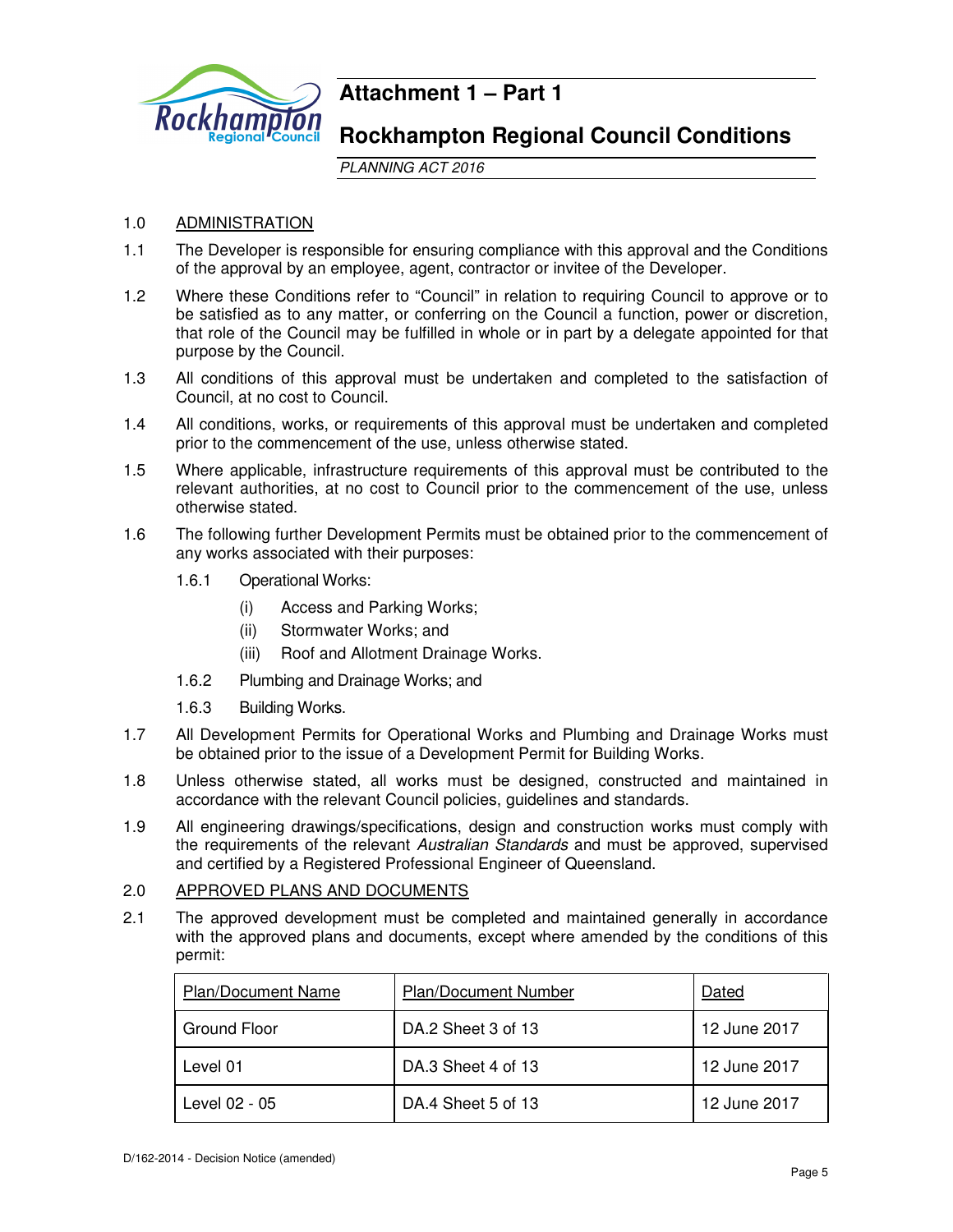

## **Attachment 1 – Part 1**

## **Rockhampton Regional Council Conditions**

PLANNING ACT 2016

## 1.0 ADMINISTRATION

- 1.1 The Developer is responsible for ensuring compliance with this approval and the Conditions of the approval by an employee, agent, contractor or invitee of the Developer.
- 1.2 Where these Conditions refer to "Council" in relation to requiring Council to approve or to be satisfied as to any matter, or conferring on the Council a function, power or discretion, that role of the Council may be fulfilled in whole or in part by a delegate appointed for that purpose by the Council.
- 1.3 All conditions of this approval must be undertaken and completed to the satisfaction of Council, at no cost to Council.
- 1.4 All conditions, works, or requirements of this approval must be undertaken and completed prior to the commencement of the use, unless otherwise stated.
- 1.5 Where applicable, infrastructure requirements of this approval must be contributed to the relevant authorities, at no cost to Council prior to the commencement of the use, unless otherwise stated.
- 1.6 The following further Development Permits must be obtained prior to the commencement of any works associated with their purposes:
	- 1.6.1 Operational Works:
		- (i) Access and Parking Works;
		- (ii) Stormwater Works; and
		- (iii) Roof and Allotment Drainage Works.
	- 1.6.2 Plumbing and Drainage Works; and
	- 1.6.3 Building Works.
- 1.7 All Development Permits for Operational Works and Plumbing and Drainage Works must be obtained prior to the issue of a Development Permit for Building Works.
- 1.8 Unless otherwise stated, all works must be designed, constructed and maintained in accordance with the relevant Council policies, guidelines and standards.
- 1.9 All engineering drawings/specifications, design and construction works must comply with the requirements of the relevant Australian Standards and must be approved, supervised and certified by a Registered Professional Engineer of Queensland.

## 2.0 APPROVED PLANS AND DOCUMENTS

2.1 The approved development must be completed and maintained generally in accordance with the approved plans and documents, except where amended by the conditions of this permit:

| <b>Plan/Document Name</b> | <b>Plan/Document Number</b> | Dated        |
|---------------------------|-----------------------------|--------------|
| Ground Floor              | DA.2 Sheet 3 of 13          | 12 June 2017 |
| Level 01                  | DA.3 Sheet 4 of 13          | 12 June 2017 |
| Level 02 - 05             | DA.4 Sheet 5 of 13          | 12 June 2017 |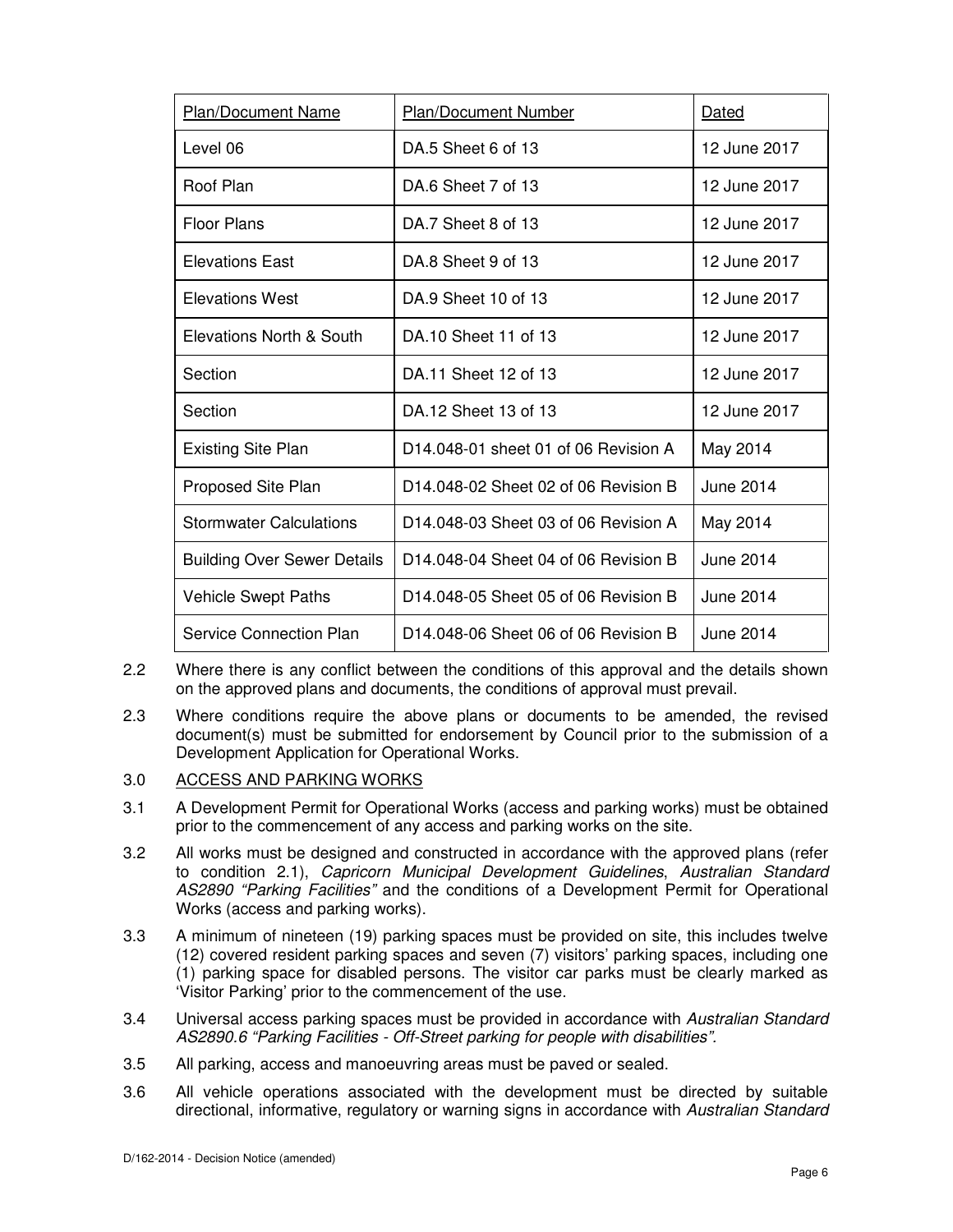| Plan/Document Name                 | <b>Plan/Document Number</b>                      | Dated            |
|------------------------------------|--------------------------------------------------|------------------|
| Level 06                           | DA.5 Sheet 6 of 13                               | 12 June 2017     |
| Roof Plan                          | DA.6 Sheet 7 of 13                               | 12 June 2017     |
| <b>Floor Plans</b>                 | DA.7 Sheet 8 of 13                               | 12 June 2017     |
| <b>Elevations East</b>             | DA 8 Sheet 9 of 13                               | 12 June 2017     |
| <b>Elevations West</b>             | DA 9 Sheet 10 of 13                              | 12 June 2017     |
| Elevations North & South           | DA 10 Sheet 11 of 13                             | 12 June 2017     |
| Section                            | DA.11 Sheet 12 of 13                             | 12 June 2017     |
| Section                            | DA.12 Sheet 13 of 13                             | 12 June 2017     |
| <b>Existing Site Plan</b>          | D14.048-01 sheet 01 of 06 Revision A             | May 2014         |
| Proposed Site Plan                 | D14,048-02 Sheet 02 of 06 Revision B             | June 2014        |
| <b>Stormwater Calculations</b>     | D14.048-03 Sheet 03 of 06 Revision A             | May 2014         |
| <b>Building Over Sewer Details</b> | D14,048-04 Sheet 04 of 06 Revision B             | <b>June 2014</b> |
| <b>Vehicle Swept Paths</b>         | D14.048-05 Sheet 05 of 06 Revision B             | June 2014        |
| <b>Service Connection Plan</b>     | D <sub>14</sub> 048-06 Sheet 06 of 06 Revision B | June 2014        |

- 2.2 Where there is any conflict between the conditions of this approval and the details shown on the approved plans and documents, the conditions of approval must prevail.
- 2.3 Where conditions require the above plans or documents to be amended, the revised document(s) must be submitted for endorsement by Council prior to the submission of a Development Application for Operational Works.
- 3.0 ACCESS AND PARKING WORKS
- 3.1 A Development Permit for Operational Works (access and parking works) must be obtained prior to the commencement of any access and parking works on the site.
- 3.2 All works must be designed and constructed in accordance with the approved plans (refer to condition 2.1), Capricorn Municipal Development Guidelines, Australian Standard AS2890 "Parking Facilities" and the conditions of a Development Permit for Operational Works (access and parking works).
- 3.3 A minimum of nineteen (19) parking spaces must be provided on site, this includes twelve (12) covered resident parking spaces and seven (7) visitors' parking spaces, including one (1) parking space for disabled persons. The visitor car parks must be clearly marked as 'Visitor Parking' prior to the commencement of the use.
- 3.4 Universal access parking spaces must be provided in accordance with Australian Standard AS2890.6 "Parking Facilities - Off-Street parking for people with disabilities".
- 3.5 All parking, access and manoeuvring areas must be paved or sealed.
- 3.6 All vehicle operations associated with the development must be directed by suitable directional, informative, regulatory or warning signs in accordance with Australian Standard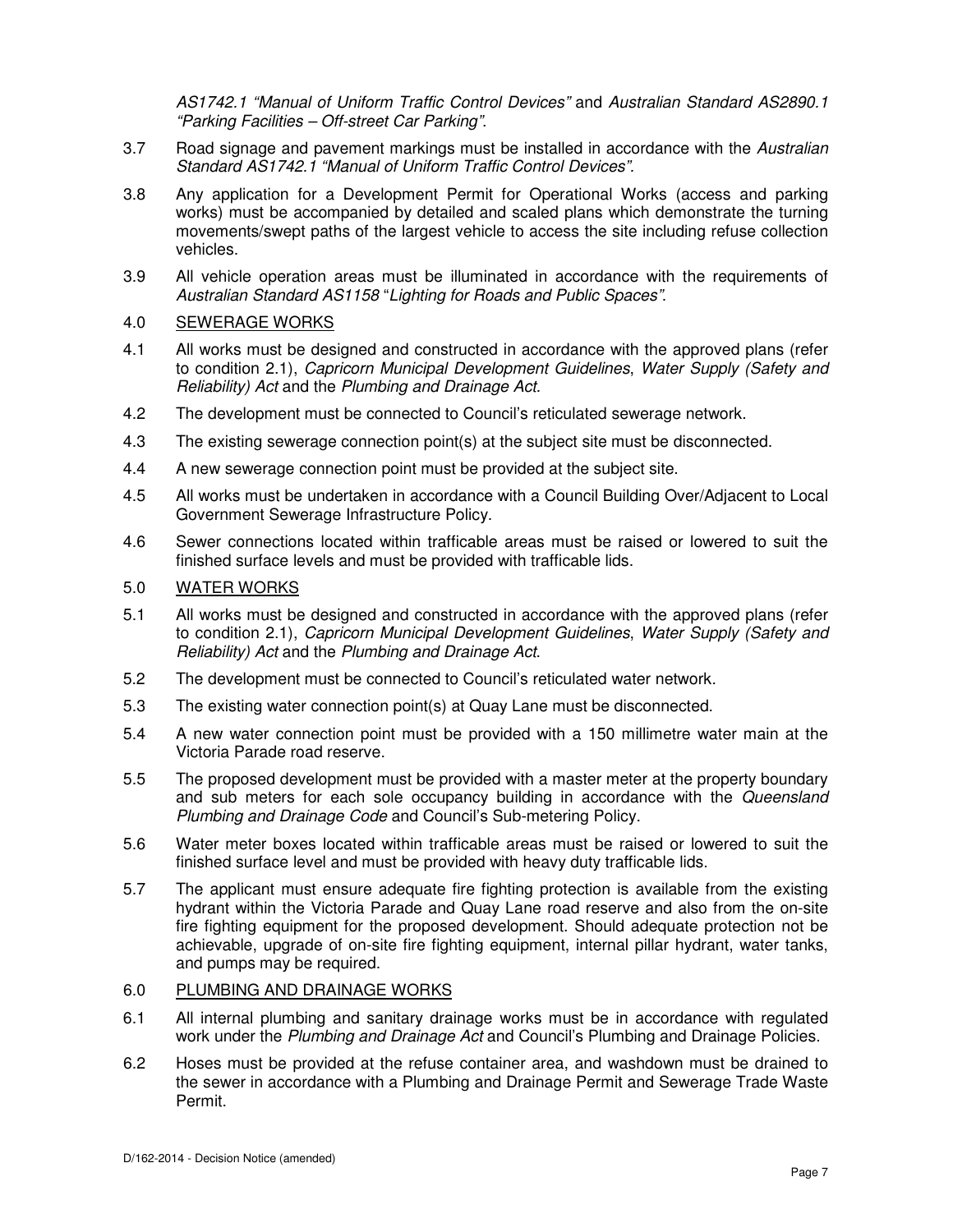AS1742.1 "Manual of Uniform Traffic Control Devices" and Australian Standard AS2890.1 "Parking Facilities – Off-street Car Parking".

- 3.7 Road signage and pavement markings must be installed in accordance with the Australian Standard AS1742.1 "Manual of Uniform Traffic Control Devices".
- 3.8 Any application for a Development Permit for Operational Works (access and parking works) must be accompanied by detailed and scaled plans which demonstrate the turning movements/swept paths of the largest vehicle to access the site including refuse collection vehicles.
- 3.9 All vehicle operation areas must be illuminated in accordance with the requirements of Australian Standard AS1158 "Lighting for Roads and Public Spaces".
- 4.0 SEWERAGE WORKS
- 4.1 All works must be designed and constructed in accordance with the approved plans (refer to condition 2.1), Capricorn Municipal Development Guidelines, Water Supply (Safety and Reliability) Act and the Plumbing and Drainage Act.
- 4.2 The development must be connected to Council's reticulated sewerage network.
- 4.3 The existing sewerage connection point(s) at the subject site must be disconnected.
- 4.4 A new sewerage connection point must be provided at the subject site.
- 4.5 All works must be undertaken in accordance with a Council Building Over/Adjacent to Local Government Sewerage Infrastructure Policy.
- 4.6 Sewer connections located within trafficable areas must be raised or lowered to suit the finished surface levels and must be provided with trafficable lids.

## 5.0 WATER WORKS

- 5.1 All works must be designed and constructed in accordance with the approved plans (refer to condition 2.1), Capricorn Municipal Development Guidelines, Water Supply (Safety and Reliability) Act and the Plumbing and Drainage Act.
- 5.2 The development must be connected to Council's reticulated water network.
- 5.3 The existing water connection point(s) at Quay Lane must be disconnected.
- 5.4 A new water connection point must be provided with a 150 millimetre water main at the Victoria Parade road reserve.
- 5.5 The proposed development must be provided with a master meter at the property boundary and sub meters for each sole occupancy building in accordance with the Queensland Plumbing and Drainage Code and Council's Sub-metering Policy.
- 5.6 Water meter boxes located within trafficable areas must be raised or lowered to suit the finished surface level and must be provided with heavy duty trafficable lids.
- 5.7 The applicant must ensure adequate fire fighting protection is available from the existing hydrant within the Victoria Parade and Quay Lane road reserve and also from the on-site fire fighting equipment for the proposed development. Should adequate protection not be achievable, upgrade of on-site fire fighting equipment, internal pillar hydrant, water tanks, and pumps may be required.

## 6.0 PLUMBING AND DRAINAGE WORKS

- 6.1 All internal plumbing and sanitary drainage works must be in accordance with regulated work under the Plumbing and Drainage Act and Council's Plumbing and Drainage Policies.
- 6.2 Hoses must be provided at the refuse container area, and washdown must be drained to the sewer in accordance with a Plumbing and Drainage Permit and Sewerage Trade Waste Permit.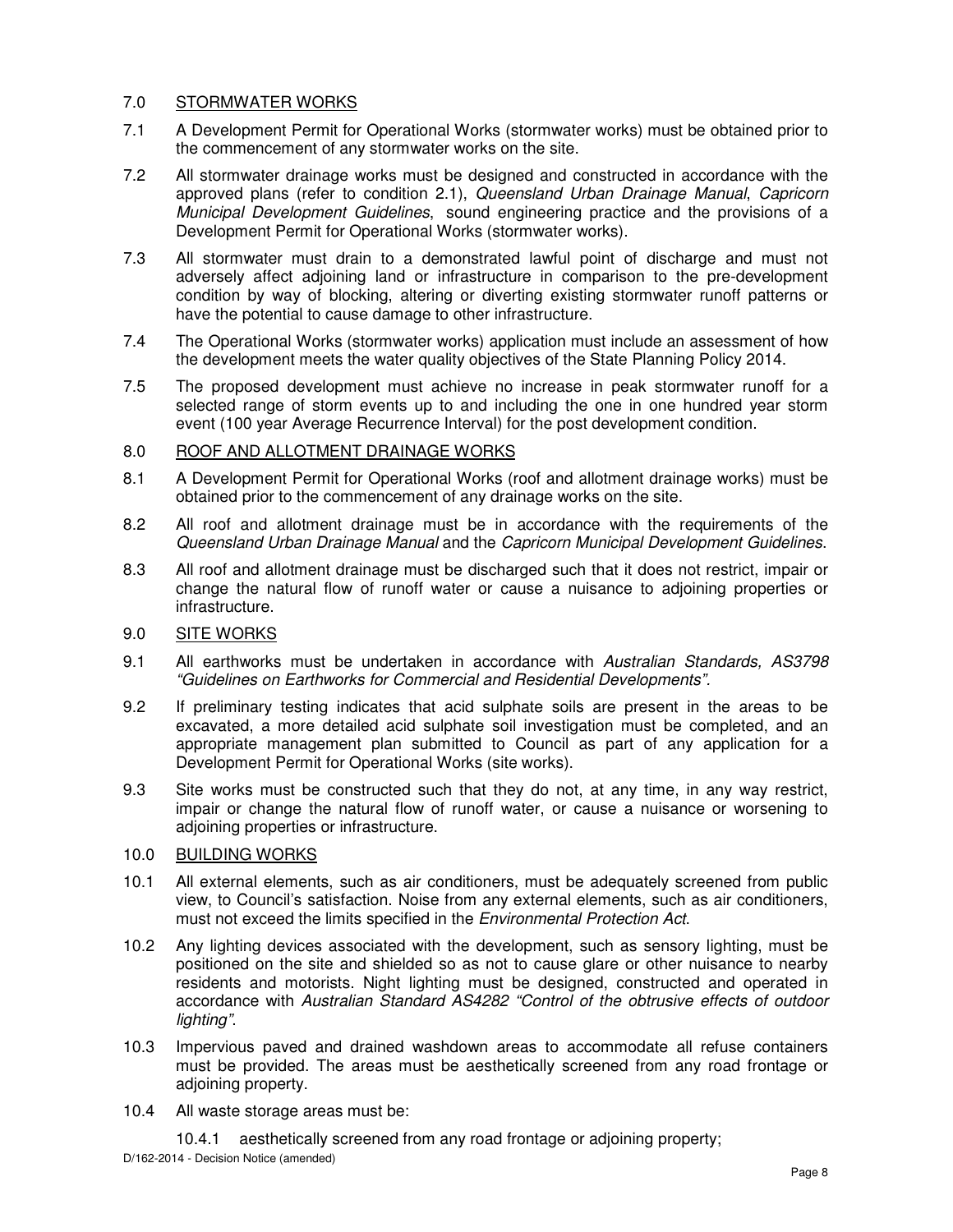## 7.0 STORMWATER WORKS

- 7.1 A Development Permit for Operational Works (stormwater works) must be obtained prior to the commencement of any stormwater works on the site.
- 7.2 All stormwater drainage works must be designed and constructed in accordance with the approved plans (refer to condition 2.1), Queensland Urban Drainage Manual, Capricorn Municipal Development Guidelines, sound engineering practice and the provisions of a Development Permit for Operational Works (stormwater works).
- 7.3 All stormwater must drain to a demonstrated lawful point of discharge and must not adversely affect adjoining land or infrastructure in comparison to the pre-development condition by way of blocking, altering or diverting existing stormwater runoff patterns or have the potential to cause damage to other infrastructure.
- 7.4 The Operational Works (stormwater works) application must include an assessment of how the development meets the water quality objectives of the State Planning Policy 2014.
- 7.5 The proposed development must achieve no increase in peak stormwater runoff for a selected range of storm events up to and including the one in one hundred year storm event (100 year Average Recurrence Interval) for the post development condition.

## 8.0 ROOF AND ALLOTMENT DRAINAGE WORKS

- 8.1 A Development Permit for Operational Works (roof and allotment drainage works) must be obtained prior to the commencement of any drainage works on the site.
- 8.2 All roof and allotment drainage must be in accordance with the requirements of the Queensland Urban Drainage Manual and the Capricorn Municipal Development Guidelines.
- 8.3 All roof and allotment drainage must be discharged such that it does not restrict, impair or change the natural flow of runoff water or cause a nuisance to adjoining properties or infrastructure.

## 9.0 SITE WORKS

- 9.1 All earthworks must be undertaken in accordance with Australian Standards, AS3798 "Guidelines on Earthworks for Commercial and Residential Developments".
- 9.2 If preliminary testing indicates that acid sulphate soils are present in the areas to be excavated, a more detailed acid sulphate soil investigation must be completed, and an appropriate management plan submitted to Council as part of any application for a Development Permit for Operational Works (site works).
- 9.3 Site works must be constructed such that they do not, at any time, in any way restrict, impair or change the natural flow of runoff water, or cause a nuisance or worsening to adjoining properties or infrastructure.

## 10.0 BUILDING WORKS

- 10.1 All external elements, such as air conditioners, must be adequately screened from public view, to Council's satisfaction. Noise from any external elements, such as air conditioners, must not exceed the limits specified in the Environmental Protection Act.
- 10.2 Any lighting devices associated with the development, such as sensory lighting, must be positioned on the site and shielded so as not to cause glare or other nuisance to nearby residents and motorists. Night lighting must be designed, constructed and operated in accordance with Australian Standard AS4282 "Control of the obtrusive effects of outdoor lighting".
- 10.3 Impervious paved and drained washdown areas to accommodate all refuse containers must be provided. The areas must be aesthetically screened from any road frontage or adjoining property.
- 10.4 All waste storage areas must be:

10.4.1 aesthetically screened from any road frontage or adjoining property;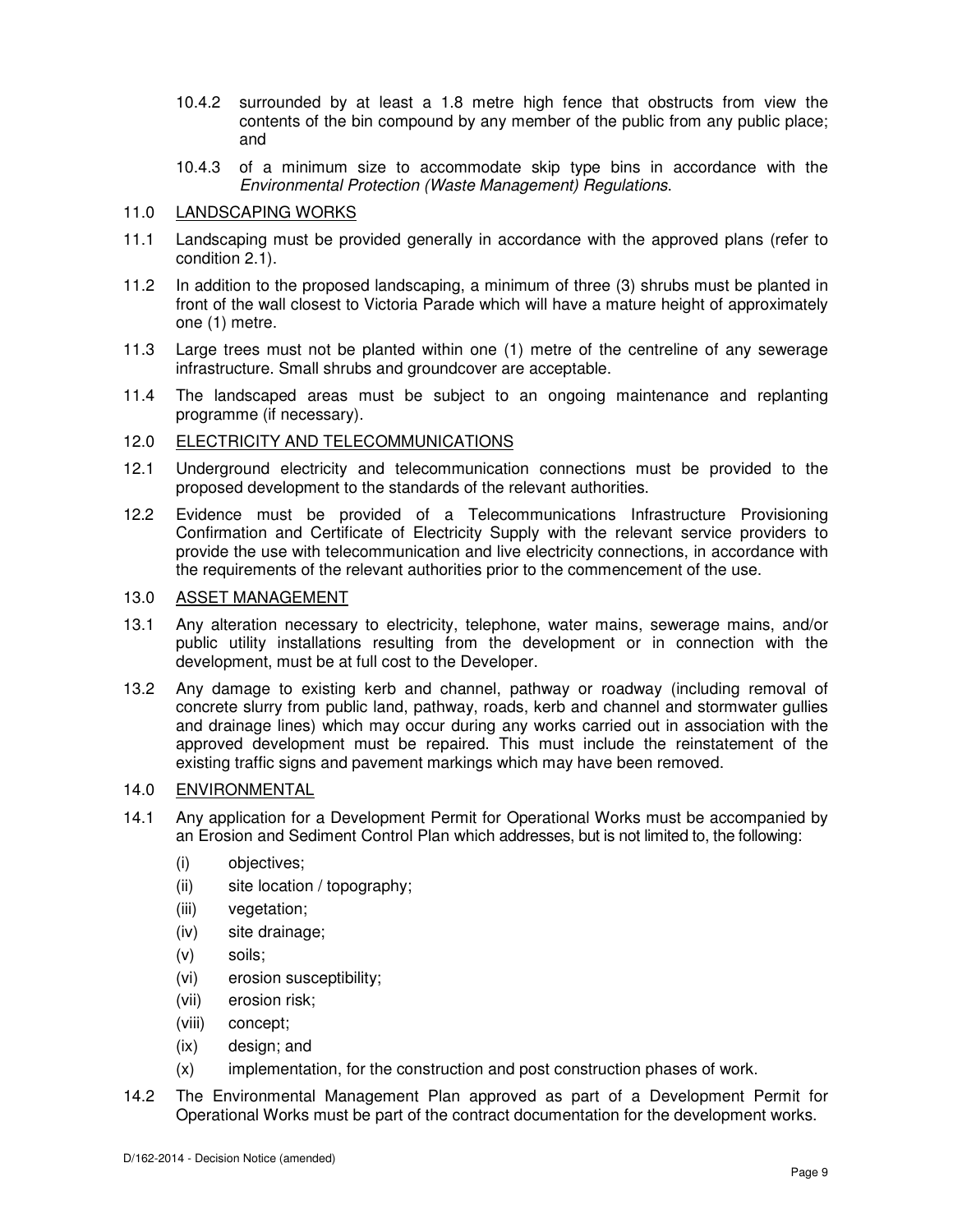- 10.4.2 surrounded by at least a 1.8 metre high fence that obstructs from view the contents of the bin compound by any member of the public from any public place; and
- 10.4.3 of a minimum size to accommodate skip type bins in accordance with the Environmental Protection (Waste Management) Regulations.

#### 11.0 LANDSCAPING WORKS

- 11.1 Landscaping must be provided generally in accordance with the approved plans (refer to condition 2.1).
- 11.2 In addition to the proposed landscaping, a minimum of three (3) shrubs must be planted in front of the wall closest to Victoria Parade which will have a mature height of approximately one (1) metre.
- 11.3 Large trees must not be planted within one (1) metre of the centreline of any sewerage infrastructure. Small shrubs and groundcover are acceptable.
- 11.4 The landscaped areas must be subject to an ongoing maintenance and replanting programme (if necessary).

## 12.0 ELECTRICITY AND TELECOMMUNICATIONS

- 12.1 Underground electricity and telecommunication connections must be provided to the proposed development to the standards of the relevant authorities.
- 12.2 Evidence must be provided of a Telecommunications Infrastructure Provisioning Confirmation and Certificate of Electricity Supply with the relevant service providers to provide the use with telecommunication and live electricity connections, in accordance with the requirements of the relevant authorities prior to the commencement of the use.

## 13.0 ASSET MANAGEMENT

- 13.1 Any alteration necessary to electricity, telephone, water mains, sewerage mains, and/or public utility installations resulting from the development or in connection with the development, must be at full cost to the Developer.
- 13.2 Any damage to existing kerb and channel, pathway or roadway (including removal of concrete slurry from public land, pathway, roads, kerb and channel and stormwater gullies and drainage lines) which may occur during any works carried out in association with the approved development must be repaired. This must include the reinstatement of the existing traffic signs and pavement markings which may have been removed.

## 14.0 ENVIRONMENTAL

- 14.1 Any application for a Development Permit for Operational Works must be accompanied by an Erosion and Sediment Control Plan which addresses, but is not limited to, the following:
	- (i) objectives;
	- (ii) site location / topography;
	- (iii) vegetation;
	- (iv) site drainage;
	- (v) soils;
	- (vi) erosion susceptibility;
	- (vii) erosion risk;
	- (viii) concept;
	- (ix) design; and
	- (x) implementation, for the construction and post construction phases of work.
- 14.2 The Environmental Management Plan approved as part of a Development Permit for Operational Works must be part of the contract documentation for the development works.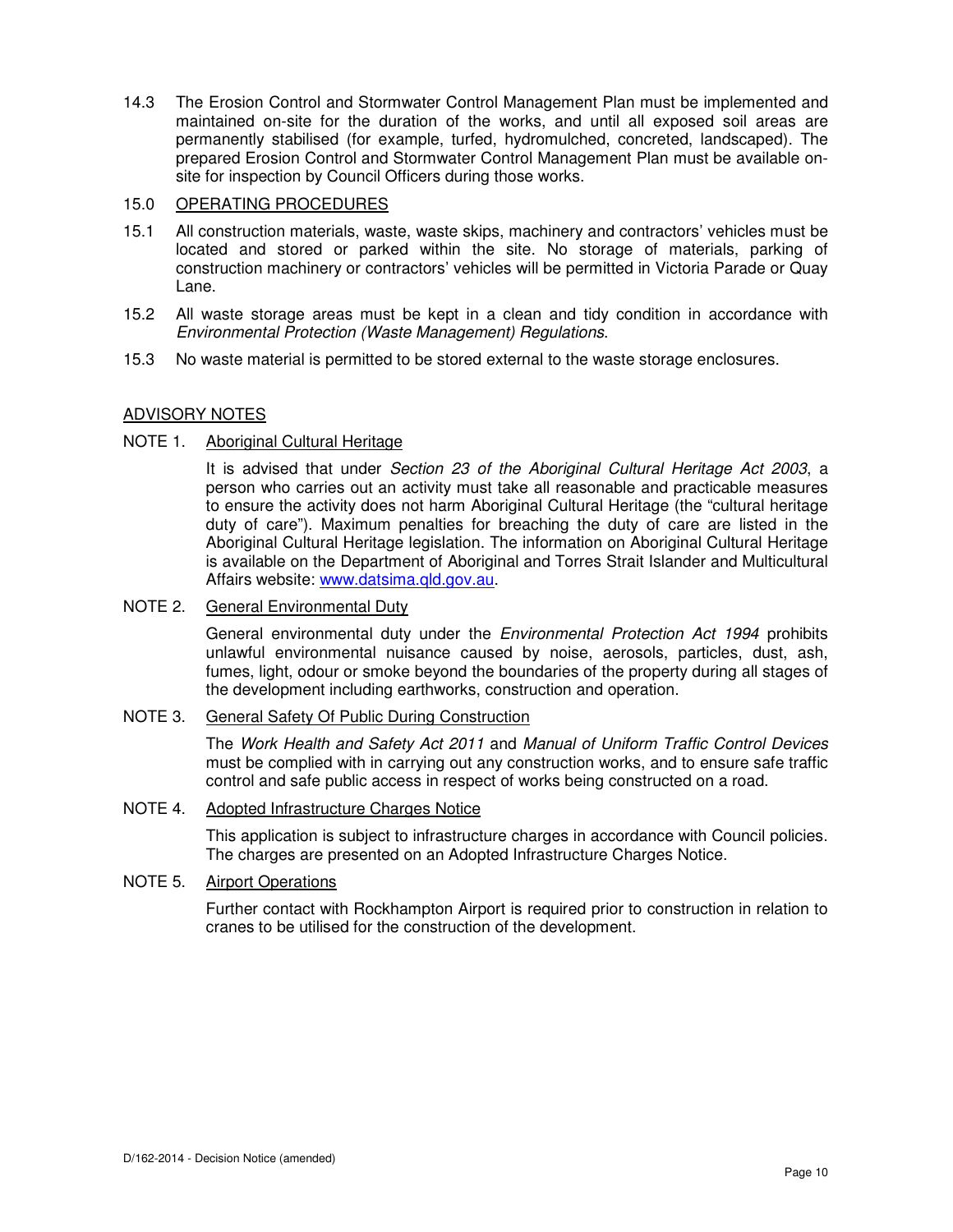14.3 The Erosion Control and Stormwater Control Management Plan must be implemented and maintained on-site for the duration of the works, and until all exposed soil areas are permanently stabilised (for example, turfed, hydromulched, concreted, landscaped). The prepared Erosion Control and Stormwater Control Management Plan must be available onsite for inspection by Council Officers during those works.

## 15.0 OPERATING PROCEDURES

- 15.1 All construction materials, waste, waste skips, machinery and contractors' vehicles must be located and stored or parked within the site. No storage of materials, parking of construction machinery or contractors' vehicles will be permitted in Victoria Parade or Quay Lane.
- 15.2 All waste storage areas must be kept in a clean and tidy condition in accordance with Environmental Protection (Waste Management) Regulations.
- 15.3 No waste material is permitted to be stored external to the waste storage enclosures.

## ADVISORY NOTES

## NOTE 1. Aboriginal Cultural Heritage

It is advised that under Section 23 of the Aboriginal Cultural Heritage Act 2003, a person who carries out an activity must take all reasonable and practicable measures to ensure the activity does not harm Aboriginal Cultural Heritage (the "cultural heritage duty of care"). Maximum penalties for breaching the duty of care are listed in the Aboriginal Cultural Heritage legislation. The information on Aboriginal Cultural Heritage is available on the Department of Aboriginal and Torres Strait Islander and Multicultural Affairs website: www.datsima.qld.gov.au.

## NOTE 2. General Environmental Duty

General environmental duty under the *Environmental Protection Act 1994* prohibits unlawful environmental nuisance caused by noise, aerosols, particles, dust, ash, fumes, light, odour or smoke beyond the boundaries of the property during all stages of the development including earthworks, construction and operation.

## NOTE 3. General Safety Of Public During Construction

The Work Health and Safety Act 2011 and Manual of Uniform Traffic Control Devices must be complied with in carrying out any construction works, and to ensure safe traffic control and safe public access in respect of works being constructed on a road.

## NOTE 4. Adopted Infrastructure Charges Notice

This application is subject to infrastructure charges in accordance with Council policies. The charges are presented on an Adopted Infrastructure Charges Notice.

## NOTE 5. Airport Operations

Further contact with Rockhampton Airport is required prior to construction in relation to cranes to be utilised for the construction of the development.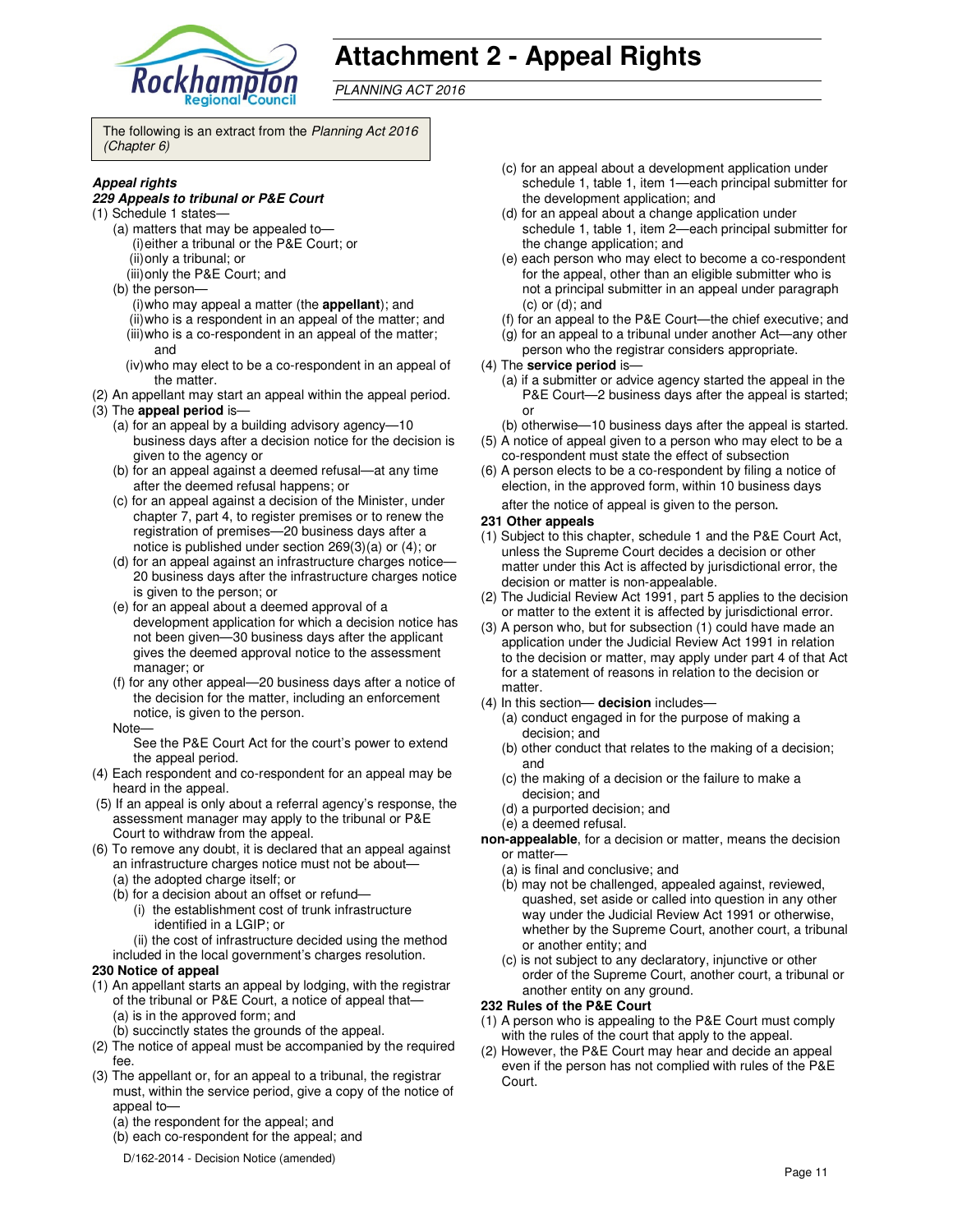

# **Attachment 2 - Appeal Rights**

PLANNING ACT 2016

The following is an extract from the Planning Act 2016 (Chapter 6)

#### **Appeal rights**

#### **229 Appeals to tribunal or P&E Court**

- (1) Schedule 1 states—
	- (a) matters that may be appealed to— (i) either a tribunal or the P&E Court; or (ii) only a tribunal; or
		- (iii) only the P&E Court; and
	- (b) the person—
		- (i) who may appeal a matter (the **appellant**); and
		- (ii) who is a respondent in an appeal of the matter; and (iii) who is a co-respondent in an appeal of the matter;
		- and (iv) who may elect to be a co-respondent in an appeal of the matter.
- (2) An appellant may start an appeal within the appeal period.
- (3) The **appeal period** is—
	- (a) for an appeal by a building advisory agency—10 business days after a decision notice for the decision is given to the agency or
	- (b) for an appeal against a deemed refusal—at any time after the deemed refusal happens; or
	- (c) for an appeal against a decision of the Minister, under chapter 7, part 4, to register premises or to renew the registration of premises—20 business days after a notice is published under section 269(3)(a) or (4); or
	- (d) for an appeal against an infrastructure charges notice— 20 business days after the infrastructure charges notice is given to the person; or
	- (e) for an appeal about a deemed approval of a development application for which a decision notice has not been given—30 business days after the applicant gives the deemed approval notice to the assessment manager; or
	- (f) for any other appeal—20 business days after a notice of the decision for the matter, including an enforcement notice, is given to the person.
	- Note—

See the P&E Court Act for the court's power to extend the appeal period.

- (4) Each respondent and co-respondent for an appeal may be heard in the appeal.
- (5) If an appeal is only about a referral agency's response, the assessment manager may apply to the tribunal or P&E Court to withdraw from the appeal.
- (6) To remove any doubt, it is declared that an appeal against an infrastructure charges notice must not be about—
	- (a) the adopted charge itself; or
	- (b) for a decision about an offset or refund—
		- (i) the establishment cost of trunk infrastructure identified in a LGIP; or
	- (ii) the cost of infrastructure decided using the method included in the local government's charges resolution.

#### **230 Notice of appeal**

- (1) An appellant starts an appeal by lodging, with the registrar of the tribunal or P&E Court, a notice of appeal that— (a) is in the approved form; and
	- (b) succinctly states the grounds of the appeal.
- (2) The notice of appeal must be accompanied by the required fee.
- (3) The appellant or, for an appeal to a tribunal, the registrar must, within the service period, give a copy of the notice of appeal to—
	- (a) the respondent for the appeal; and
	- (b) each co-respondent for the appeal; and
	- D/162-2014 Decision Notice (amended)
- (c) for an appeal about a development application under schedule 1, table 1, item 1—each principal submitter for the development application; and
- (d) for an appeal about a change application under schedule 1, table 1, item 2—each principal submitter for the change application; and
- (e) each person who may elect to become a co-respondent for the appeal, other than an eligible submitter who is not a principal submitter in an appeal under paragraph (c) or (d); and
- (f) for an appeal to the P&E Court—the chief executive; and
- (g) for an appeal to a tribunal under another Act—any other person who the registrar considers appropriate.
- (4) The **service period** is—
	- (a) if a submitter or advice agency started the appeal in the P&E Court—2 business days after the appeal is started; or
	- (b) otherwise—10 business days after the appeal is started.
- (5) A notice of appeal given to a person who may elect to be a co-respondent must state the effect of subsection
- (6) A person elects to be a co-respondent by filing a notice of election, in the approved form, within 10 business days after the notice of appeal is given to the person*.*
- **231 Other appeals**
- (1) Subject to this chapter, schedule 1 and the P&E Court Act, unless the Supreme Court decides a decision or other matter under this Act is affected by jurisdictional error, the decision or matter is non-appealable.
- (2) The Judicial Review Act 1991, part 5 applies to the decision or matter to the extent it is affected by jurisdictional error.
- (3) A person who, but for subsection (1) could have made an application under the Judicial Review Act 1991 in relation to the decision or matter, may apply under part 4 of that Act for a statement of reasons in relation to the decision or matter.
- (4) In this section— **decision** includes—
	- (a) conduct engaged in for the purpose of making a decision; and
	- (b) other conduct that relates to the making of a decision; and
	- (c) the making of a decision or the failure to make a decision; and
	- (d) a purported decision; and
	- (e) a deemed refusal.

**non-appealable**, for a decision or matter, means the decision or matter—

- (a) is final and conclusive; and
- (b) may not be challenged, appealed against, reviewed, quashed, set aside or called into question in any other way under the Judicial Review Act 1991 or otherwise, whether by the Supreme Court, another court, a tribunal or another entity; and
- (c) is not subject to any declaratory, injunctive or other order of the Supreme Court, another court, a tribunal or another entity on any ground.

#### **232 Rules of the P&E Court**

- (1) A person who is appealing to the P&E Court must comply with the rules of the court that apply to the appeal.
- (2) However, the P&E Court may hear and decide an appeal even if the person has not complied with rules of the P&E Court.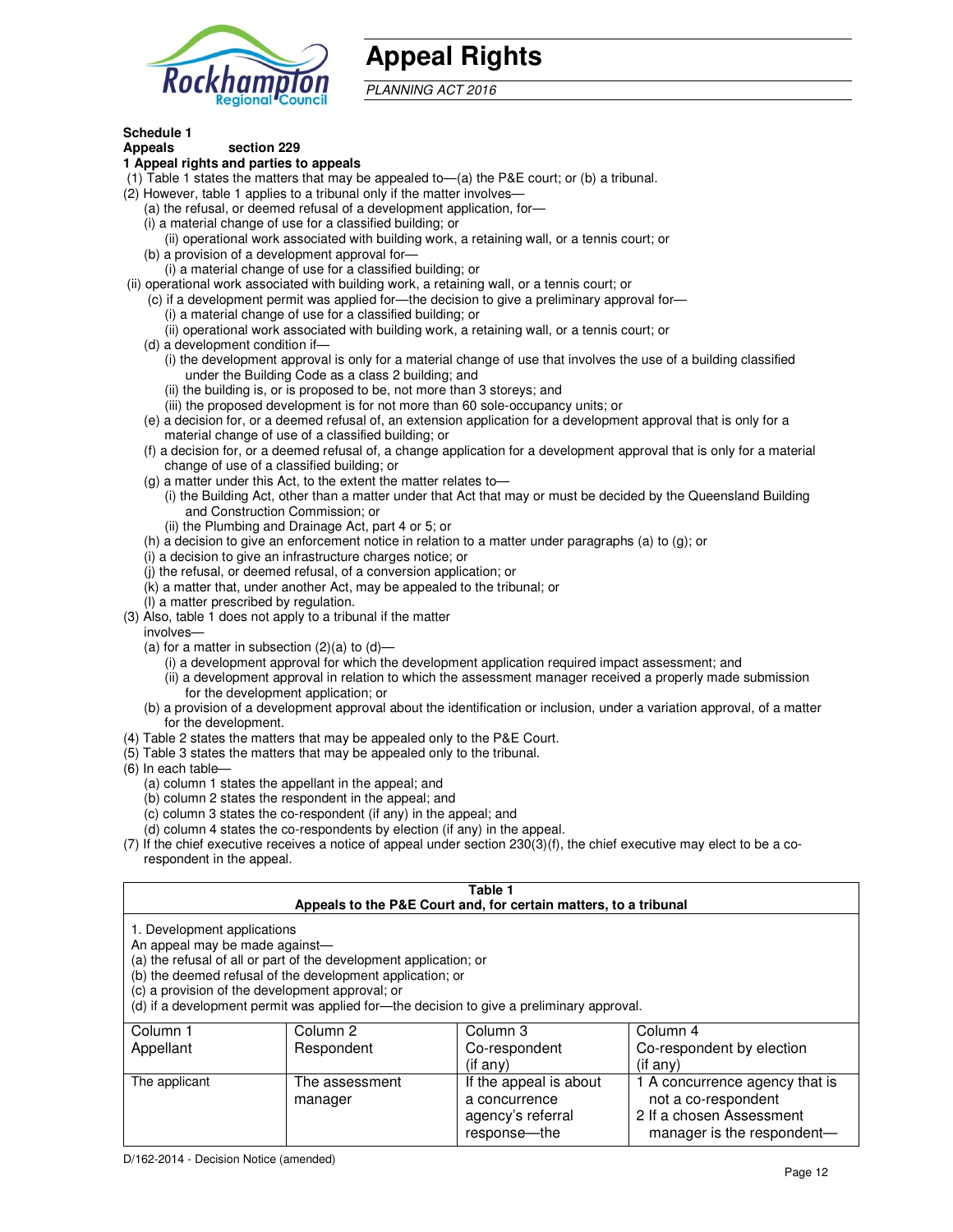

# **Appeal Rights**

PLANNING ACT 2016

## **Schedule 1**

#### **Appeals section 229 1 Appeal rights and parties to appeals**

- (1) Table 1 states the matters that may be appealed to—(a) the P&E court; or (b) a tribunal.
- (2) However, table 1 applies to a tribunal only if the matter involves—
	- (a) the refusal, or deemed refusal of a development application, for—
	- (i) a material change of use for a classified building; or
	- (ii) operational work associated with building work, a retaining wall, or a tennis court; or (b) a provision of a development approval for—
	- (i) a material change of use for a classified building; or
- (ii) operational work associated with building work, a retaining wall, or a tennis court; or
	- (c) if a development permit was applied for—the decision to give a preliminary approval for—
		- (i) a material change of use for a classified building; or
		- (ii) operational work associated with building work, a retaining wall, or a tennis court; or
	- (d) a development condition if—
		- (i) the development approval is only for a material change of use that involves the use of a building classified under the Building Code as a class 2 building; and
		- (ii) the building is, or is proposed to be, not more than 3 storeys; and
		- (iii) the proposed development is for not more than 60 sole-occupancy units; or
	- (e) a decision for, or a deemed refusal of, an extension application for a development approval that is only for a material change of use of a classified building; or
	- (f) a decision for, or a deemed refusal of, a change application for a development approval that is only for a material change of use of a classified building; or
	- (g) a matter under this Act, to the extent the matter relates to—
		- (i) the Building Act, other than a matter under that Act that may or must be decided by the Queensland Building and Construction Commission; or
		- (ii) the Plumbing and Drainage Act, part 4 or 5; or
	- (h) a decision to give an enforcement notice in relation to a matter under paragraphs (a) to (g); or
	- (i) a decision to give an infrastructure charges notice; or
	- (j) the refusal, or deemed refusal, of a conversion application; or
	- (k) a matter that, under another Act, may be appealed to the tribunal; or
	- (l) a matter prescribed by regulation.
- (3) Also, table 1 does not apply to a tribunal if the matter
- involves—
	- (a) for a matter in subsection  $(2)(a)$  to  $(d)$ 
		- (i) a development approval for which the development application required impact assessment; and
		- (ii) a development approval in relation to which the assessment manager received a properly made submission for the development application; or
	- (b) a provision of a development approval about the identification or inclusion, under a variation approval, of a matter for the development.
- (4) Table 2 states the matters that may be appealed only to the P&E Court.
- (5) Table 3 states the matters that may be appealed only to the tribunal.
- (6) In each table—
	- (a) column 1 states the appellant in the appeal; and
	- (b) column 2 states the respondent in the appeal; and
	- (c) column 3 states the co-respondent (if any) in the appeal; and
	- (d) column 4 states the co-respondents by election (if any) in the appeal.
- (7) If the chief executive receives a notice of appeal under section 230(3)(f), the chief executive may elect to be a corespondent in the appeal.

| Table 1<br>Appeals to the P&E Court and, for certain matters, to a tribunal                                                                                                                                                                                                                                                                    |                           |                                                              |                                                                                   |  |  |
|------------------------------------------------------------------------------------------------------------------------------------------------------------------------------------------------------------------------------------------------------------------------------------------------------------------------------------------------|---------------------------|--------------------------------------------------------------|-----------------------------------------------------------------------------------|--|--|
| 1. Development applications<br>An appeal may be made against-<br>(a) the refusal of all or part of the development application; or<br>(b) the deemed refusal of the development application; or<br>(c) a provision of the development approval; or<br>(d) if a development permit was applied for-the decision to give a preliminary approval. |                           |                                                              |                                                                                   |  |  |
| Column 1                                                                                                                                                                                                                                                                                                                                       | Column 2                  | Column 3                                                     | Column 4                                                                          |  |  |
| Appellant<br>Co-respondent<br>Co-respondent by election<br>Respondent<br>$($ if any $)$<br>(i f any)                                                                                                                                                                                                                                           |                           |                                                              |                                                                                   |  |  |
| The applicant                                                                                                                                                                                                                                                                                                                                  | The assessment<br>manager | If the appeal is about<br>a concurrence<br>agency's referral | 1 A concurrence agency that is<br>not a co-respondent<br>2 If a chosen Assessment |  |  |

response—the

manager is the respondent-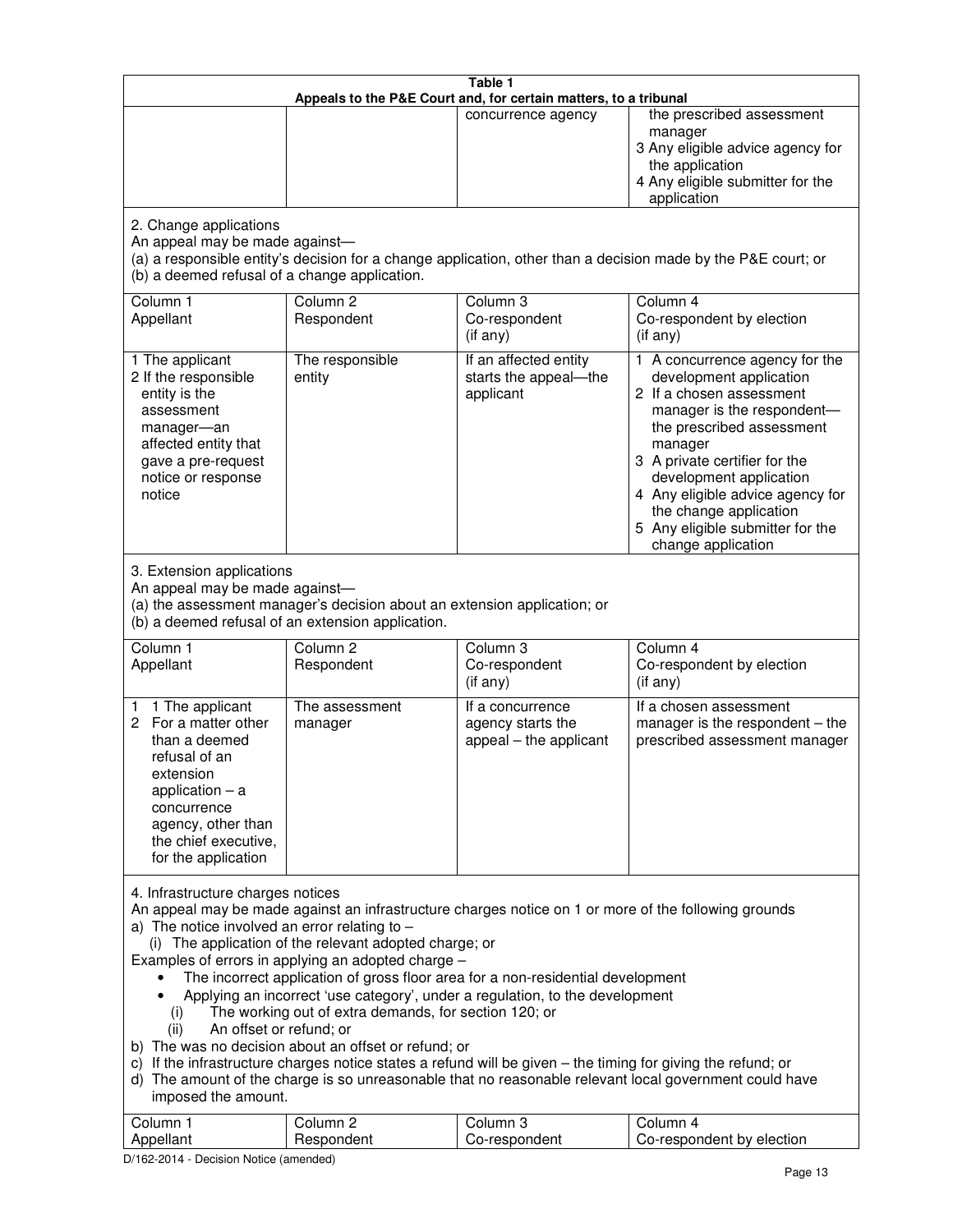| Table 1<br>Appeals to the P&E Court and, for certain matters, to a tribunal                                                                                                                                                                                                                                                                                                                                                                                                                                                                                                                                                                                                                                                                                                                                                                                                                                                                                       |                                                                                                                               |                                                                 |                                                                                                                                                                                                                                                                                                                                                 |  |
|-------------------------------------------------------------------------------------------------------------------------------------------------------------------------------------------------------------------------------------------------------------------------------------------------------------------------------------------------------------------------------------------------------------------------------------------------------------------------------------------------------------------------------------------------------------------------------------------------------------------------------------------------------------------------------------------------------------------------------------------------------------------------------------------------------------------------------------------------------------------------------------------------------------------------------------------------------------------|-------------------------------------------------------------------------------------------------------------------------------|-----------------------------------------------------------------|-------------------------------------------------------------------------------------------------------------------------------------------------------------------------------------------------------------------------------------------------------------------------------------------------------------------------------------------------|--|
|                                                                                                                                                                                                                                                                                                                                                                                                                                                                                                                                                                                                                                                                                                                                                                                                                                                                                                                                                                   |                                                                                                                               | concurrence agency                                              | the prescribed assessment<br>manager<br>3 Any eligible advice agency for<br>the application<br>4 Any eligible submitter for the<br>application                                                                                                                                                                                                  |  |
| 2. Change applications<br>An appeal may be made against-<br>(b) a deemed refusal of a change application.                                                                                                                                                                                                                                                                                                                                                                                                                                                                                                                                                                                                                                                                                                                                                                                                                                                         |                                                                                                                               |                                                                 | (a) a responsible entity's decision for a change application, other than a decision made by the P&E court; or                                                                                                                                                                                                                                   |  |
| Column 1<br>Appellant                                                                                                                                                                                                                                                                                                                                                                                                                                                                                                                                                                                                                                                                                                                                                                                                                                                                                                                                             | Column <sub>2</sub><br>Respondent                                                                                             | Column <sub>3</sub><br>Co-respondent<br>(if any)                | Column 4<br>Co-respondent by election<br>(if any)                                                                                                                                                                                                                                                                                               |  |
| 1 The applicant<br>2 If the responsible<br>entity is the<br>assessment<br>manager-an<br>affected entity that<br>gave a pre-request<br>notice or response<br>notice                                                                                                                                                                                                                                                                                                                                                                                                                                                                                                                                                                                                                                                                                                                                                                                                | The responsible<br>entity                                                                                                     | If an affected entity<br>starts the appeal-the<br>applicant     | 1 A concurrence agency for the<br>development application<br>2 If a chosen assessment<br>manager is the respondent-<br>the prescribed assessment<br>manager<br>3 A private certifier for the<br>development application<br>4 Any eligible advice agency for<br>the change application<br>5 Any eligible submitter for the<br>change application |  |
| 3. Extension applications<br>An appeal may be made against-                                                                                                                                                                                                                                                                                                                                                                                                                                                                                                                                                                                                                                                                                                                                                                                                                                                                                                       | (a) the assessment manager's decision about an extension application; or<br>(b) a deemed refusal of an extension application. |                                                                 |                                                                                                                                                                                                                                                                                                                                                 |  |
| Column 1<br>Appellant                                                                                                                                                                                                                                                                                                                                                                                                                                                                                                                                                                                                                                                                                                                                                                                                                                                                                                                                             | Column <sub>2</sub><br>Respondent                                                                                             | Column 3<br>Co-respondent<br>(if any)                           | Column 4<br>Co-respondent by election<br>(if any)                                                                                                                                                                                                                                                                                               |  |
| 1 The applicant<br>1.<br>For a matter other<br>2<br>than a deemed<br>refusal of an<br>extension<br>application $-$ a<br>concurrence<br>agency, other than<br>the chief executive,<br>for the application                                                                                                                                                                                                                                                                                                                                                                                                                                                                                                                                                                                                                                                                                                                                                          | The assessment<br>manager                                                                                                     | If a concurrence<br>agency starts the<br>appeal - the applicant | If a chosen assessment<br>manager is the respondent - the<br>prescribed assessment manager                                                                                                                                                                                                                                                      |  |
| 4. Infrastructure charges notices<br>An appeal may be made against an infrastructure charges notice on 1 or more of the following grounds<br>a) The notice involved an error relating to $-$<br>(i) The application of the relevant adopted charge; or<br>Examples of errors in applying an adopted charge -<br>The incorrect application of gross floor area for a non-residential development<br>Applying an incorrect 'use category', under a regulation, to the development<br>The working out of extra demands, for section 120; or<br>(i)<br>An offset or refund; or<br>(ii)<br>b) The was no decision about an offset or refund; or<br>c) If the infrastructure charges notice states a refund will be given - the timing for giving the refund; or<br>d) The amount of the charge is so unreasonable that no reasonable relevant local government could have<br>imposed the amount.<br>Column 1<br>Column <sub>2</sub><br>Column <sub>3</sub><br>Column 4 |                                                                                                                               |                                                                 |                                                                                                                                                                                                                                                                                                                                                 |  |
| Appellant                                                                                                                                                                                                                                                                                                                                                                                                                                                                                                                                                                                                                                                                                                                                                                                                                                                                                                                                                         | Respondent                                                                                                                    | Co-respondent                                                   | Co-respondent by election                                                                                                                                                                                                                                                                                                                       |  |

D/162-2014 - Decision Notice (amended)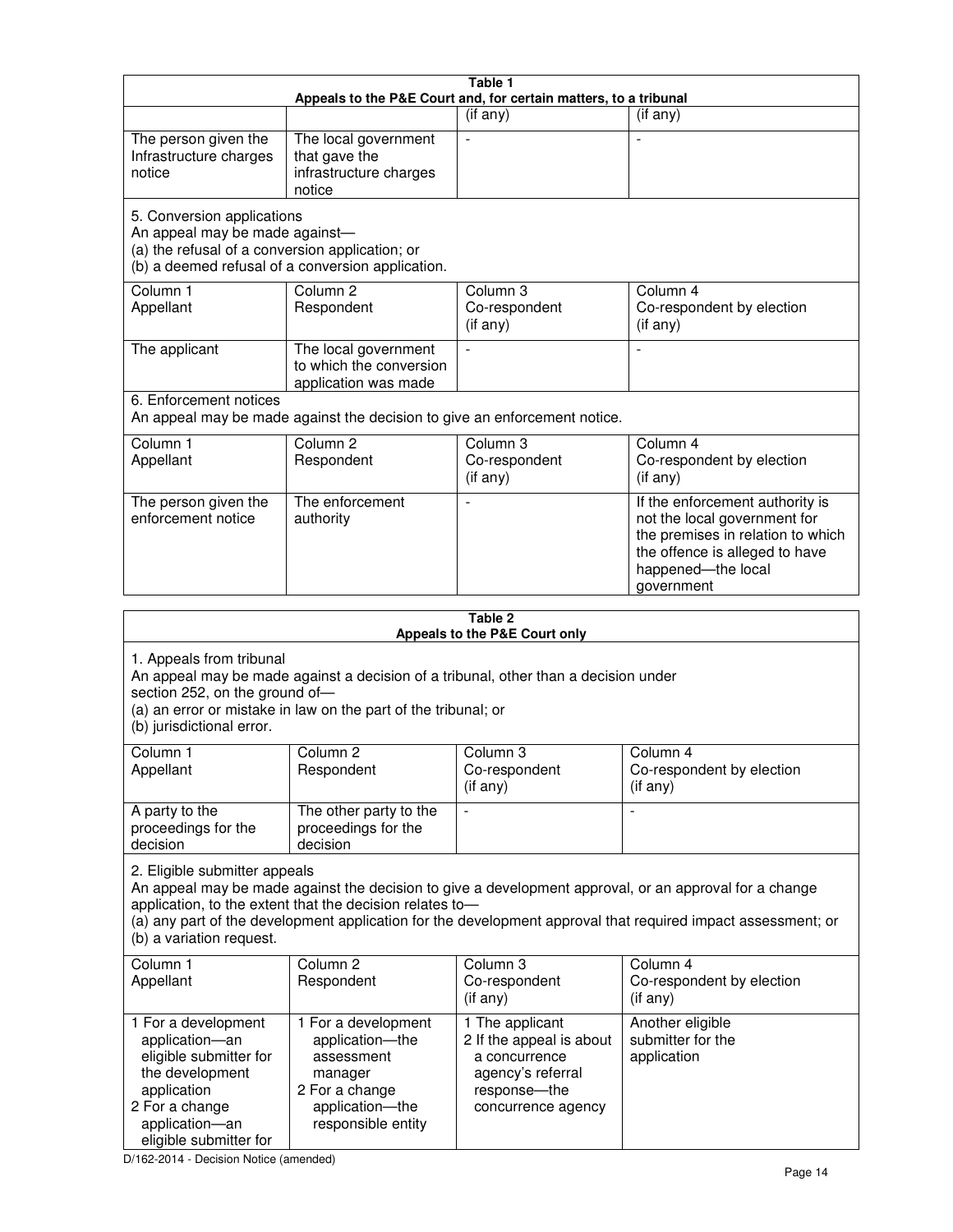| Table 1<br>Appeals to the P&E Court and, for certain matters, to a tribunal                                                                                                                                                                                                                                                                     |                                                                                                                                                                      |                                                                                                                         |                                                                                                                                                                            |  |  |  |
|-------------------------------------------------------------------------------------------------------------------------------------------------------------------------------------------------------------------------------------------------------------------------------------------------------------------------------------------------|----------------------------------------------------------------------------------------------------------------------------------------------------------------------|-------------------------------------------------------------------------------------------------------------------------|----------------------------------------------------------------------------------------------------------------------------------------------------------------------------|--|--|--|
|                                                                                                                                                                                                                                                                                                                                                 |                                                                                                                                                                      | (if any)                                                                                                                | $($ if any $)$                                                                                                                                                             |  |  |  |
| The person given the<br>Infrastructure charges<br>notice                                                                                                                                                                                                                                                                                        | The local government<br>that gave the<br>infrastructure charges<br>notice                                                                                            | $\blacksquare$                                                                                                          |                                                                                                                                                                            |  |  |  |
|                                                                                                                                                                                                                                                                                                                                                 | 5. Conversion applications<br>An appeal may be made against-<br>(a) the refusal of a conversion application; or<br>(b) a deemed refusal of a conversion application. |                                                                                                                         |                                                                                                                                                                            |  |  |  |
| Column 1<br>Appellant                                                                                                                                                                                                                                                                                                                           | Column <sub>2</sub><br>Respondent                                                                                                                                    | Column 3<br>Co-respondent<br>(if any)                                                                                   | Column 4<br>Co-respondent by election<br>(if any)                                                                                                                          |  |  |  |
| The applicant                                                                                                                                                                                                                                                                                                                                   | The local government<br>to which the conversion<br>application was made                                                                                              | $\blacksquare$                                                                                                          | $\overline{\phantom{a}}$                                                                                                                                                   |  |  |  |
| 6. Enforcement notices                                                                                                                                                                                                                                                                                                                          | An appeal may be made against the decision to give an enforcement notice.                                                                                            |                                                                                                                         |                                                                                                                                                                            |  |  |  |
| Column 1<br>Appellant                                                                                                                                                                                                                                                                                                                           | Column <sub>2</sub><br>Respondent                                                                                                                                    | Column 3<br>Co-respondent<br>(if any)                                                                                   | Column 4<br>Co-respondent by election<br>(if any)                                                                                                                          |  |  |  |
| The person given the<br>enforcement notice                                                                                                                                                                                                                                                                                                      | The enforcement<br>authority                                                                                                                                         |                                                                                                                         | If the enforcement authority is<br>not the local government for<br>the premises in relation to which<br>the offence is alleged to have<br>happened-the local<br>government |  |  |  |
| Table 2<br>Appeals to the P&E Court only                                                                                                                                                                                                                                                                                                        |                                                                                                                                                                      |                                                                                                                         |                                                                                                                                                                            |  |  |  |
| 1. Appeals from tribunal<br>section 252, on the ground of-<br>(b) jurisdictional error.                                                                                                                                                                                                                                                         | An appeal may be made against a decision of a tribunal, other than a decision under<br>(a) an error or mistake in law on the part of the tribunal; or                |                                                                                                                         |                                                                                                                                                                            |  |  |  |
| Column 1<br>Appellant                                                                                                                                                                                                                                                                                                                           | Column 2<br>Respondent                                                                                                                                               | Column 3<br>Co-respondent<br>$($ if any $)$                                                                             | Column 4<br>Co-respondent by election<br>(i f any)                                                                                                                         |  |  |  |
| A party to the<br>proceedings for the<br>decision                                                                                                                                                                                                                                                                                               | The other party to the<br>proceedings for the<br>decision                                                                                                            | $\qquad \qquad \blacksquare$                                                                                            |                                                                                                                                                                            |  |  |  |
| 2. Eligible submitter appeals<br>An appeal may be made against the decision to give a development approval, or an approval for a change<br>application, to the extent that the decision relates to-<br>(a) any part of the development application for the development approval that required impact assessment; or<br>(b) a variation request. |                                                                                                                                                                      |                                                                                                                         |                                                                                                                                                                            |  |  |  |
| Column 1<br>Appellant                                                                                                                                                                                                                                                                                                                           | Column 2<br>Respondent                                                                                                                                               | Column 3<br>Co-respondent<br>$($ if any $)$                                                                             | Column 4<br>Co-respondent by election<br>(if any)                                                                                                                          |  |  |  |
| 1 For a development<br>application-an<br>eligible submitter for<br>the development<br>application<br>2 For a change<br>application-an                                                                                                                                                                                                           | 1 For a development<br>application-the<br>assessment<br>manager<br>2 For a change<br>application-the<br>responsible entity                                           | 1 The applicant<br>2 If the appeal is about<br>a concurrence<br>agency's referral<br>response-the<br>concurrence agency | Another eligible<br>submitter for the<br>application                                                                                                                       |  |  |  |

D/162-2014 - Decision Notice (amended)

eligible submitter for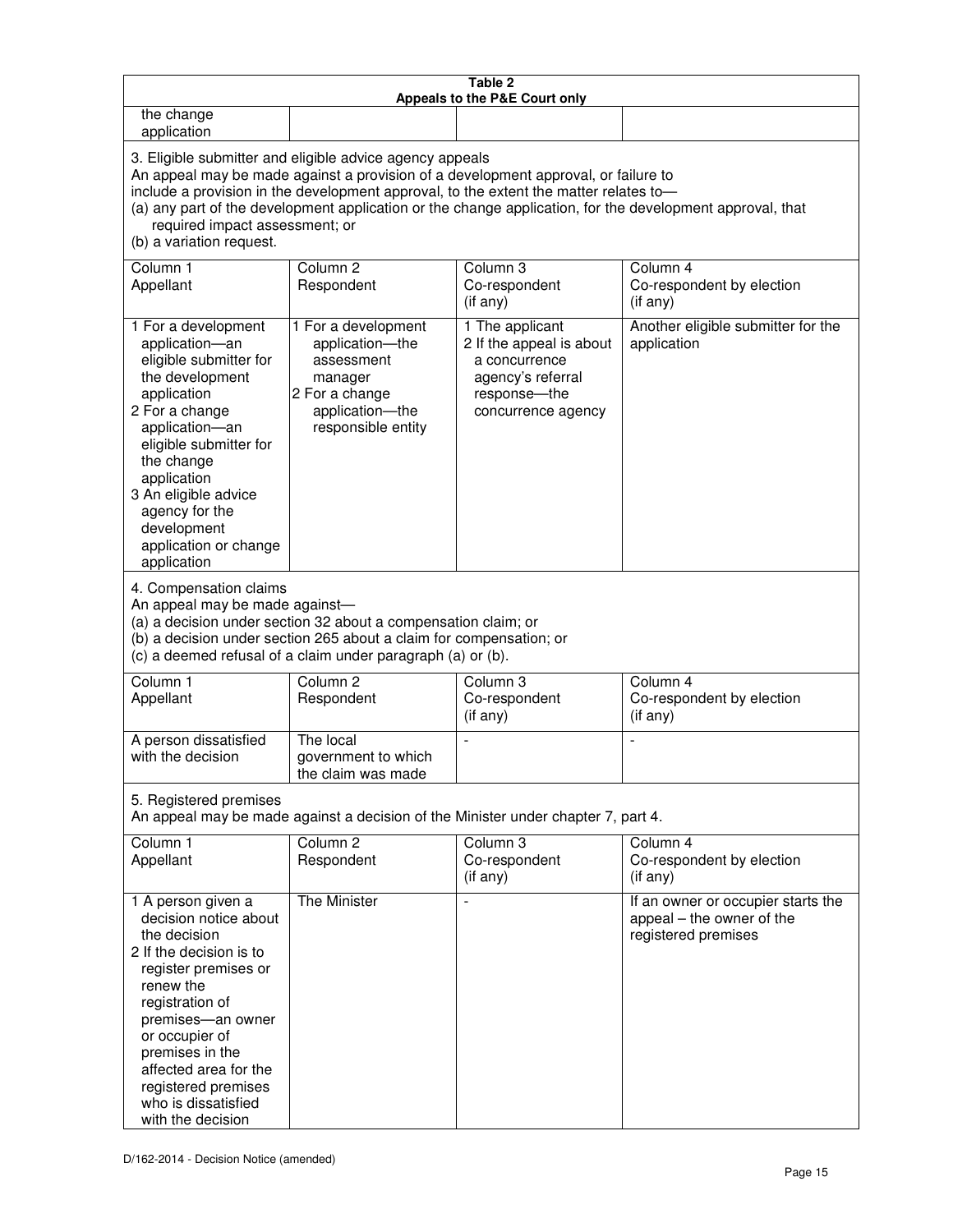| Table 2<br>Appeals to the P&E Court only                                                                                                                                                                                                                                                                                                                                                                           |                                                                                                                                                                                                      |                                                                                                                         |                                                                                        |  |  |
|--------------------------------------------------------------------------------------------------------------------------------------------------------------------------------------------------------------------------------------------------------------------------------------------------------------------------------------------------------------------------------------------------------------------|------------------------------------------------------------------------------------------------------------------------------------------------------------------------------------------------------|-------------------------------------------------------------------------------------------------------------------------|----------------------------------------------------------------------------------------|--|--|
| the change<br>application                                                                                                                                                                                                                                                                                                                                                                                          |                                                                                                                                                                                                      |                                                                                                                         |                                                                                        |  |  |
| 3. Eligible submitter and eligible advice agency appeals<br>An appeal may be made against a provision of a development approval, or failure to<br>include a provision in the development approval, to the extent the matter relates to-<br>(a) any part of the development application or the change application, for the development approval, that<br>required impact assessment; or<br>(b) a variation request. |                                                                                                                                                                                                      |                                                                                                                         |                                                                                        |  |  |
| Column 1<br>Appellant                                                                                                                                                                                                                                                                                                                                                                                              | Column <sub>2</sub><br>Respondent                                                                                                                                                                    | Column 3<br>Co-respondent<br>(if any)                                                                                   | Column 4<br>Co-respondent by election<br>(if any)                                      |  |  |
| 1 For a development<br>application-an<br>eligible submitter for<br>the development<br>application<br>2 For a change<br>application-an<br>eligible submitter for<br>the change<br>application<br>3 An eligible advice<br>agency for the<br>development<br>application or change<br>application                                                                                                                      | 1 For a development<br>application-the<br>assessment<br>manager<br>2 For a change<br>application-the<br>responsible entity                                                                           | 1 The applicant<br>2 If the appeal is about<br>a concurrence<br>agency's referral<br>response-the<br>concurrence agency | Another eligible submitter for the<br>application                                      |  |  |
| 4. Compensation claims<br>An appeal may be made against-                                                                                                                                                                                                                                                                                                                                                           | (a) a decision under section 32 about a compensation claim; or<br>(b) a decision under section 265 about a claim for compensation; or<br>(c) a deemed refusal of a claim under paragraph (a) or (b). |                                                                                                                         |                                                                                        |  |  |
| Column <sub>1</sub><br>Appellant                                                                                                                                                                                                                                                                                                                                                                                   | Column <sub>2</sub><br>Respondent                                                                                                                                                                    | Column 3<br>Co-respondent<br>(if any)                                                                                   | Column 4<br>Co-respondent by election<br>(if any)                                      |  |  |
| A person dissatisfied<br>with the decision                                                                                                                                                                                                                                                                                                                                                                         | The local<br>government to which<br>the claim was made                                                                                                                                               | ÷,                                                                                                                      | $\overline{a}$                                                                         |  |  |
| 5. Registered premises                                                                                                                                                                                                                                                                                                                                                                                             |                                                                                                                                                                                                      | An appeal may be made against a decision of the Minister under chapter 7, part 4.                                       |                                                                                        |  |  |
| Column 1<br>Appellant                                                                                                                                                                                                                                                                                                                                                                                              | Column <sub>2</sub><br>Respondent                                                                                                                                                                    | Column <sub>3</sub><br>Co-respondent<br>(if any)                                                                        | Column 4<br>Co-respondent by election<br>(if any)                                      |  |  |
| 1 A person given a<br>decision notice about<br>the decision<br>2 If the decision is to<br>register premises or<br>renew the<br>registration of<br>premises-an owner<br>or occupier of<br>premises in the<br>affected area for the<br>registered premises<br>who is dissatisfied<br>with the decision                                                                                                               | The Minister                                                                                                                                                                                         |                                                                                                                         | If an owner or occupier starts the<br>appeal - the owner of the<br>registered premises |  |  |